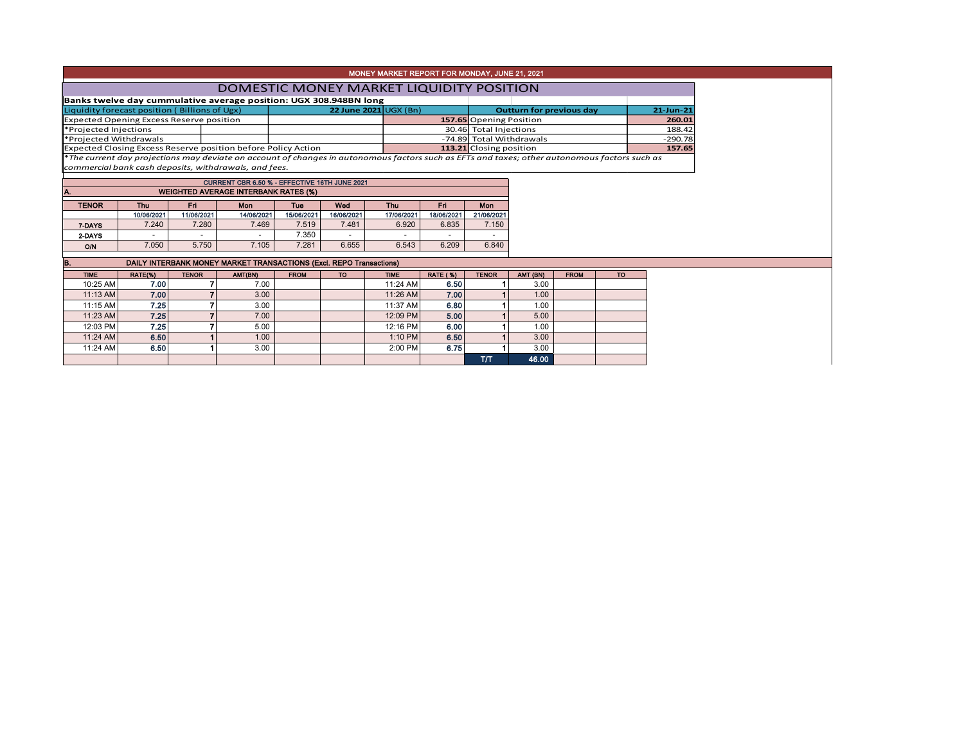|  |  | MONEY MARKET REPORT FOR MONDAY, JUNE 21, 2021 |  |
|--|--|-----------------------------------------------|--|
|  |  |                                               |  |

## Liquidity forecast position ( Billions of Ugx) **22 June 2021** UGX (Bn) **21-Jun-21** Expected Opening Excess Reserve position **157.65** Opening Position **157.65** Opening Position **260.01**<br> **188.42** Projected Injections 188.42 30.46 Total Injections \*Projected Withdrawals **157.65**<br>Expected Closing Excess Reserve position before Policy Action **113.21** Closing position **157.65 Expected Closing Excess Reserve position before Policy Action Outturn for previous day Banks twelve day cummulative average position: UGX 308.948BN long** DOMESTIC MONEY MARKET LIQUIDITY POSITION

\**The current day projections may deviate on account of changes in autonomous factors such as EFTs and taxes; other autonomous factors such as commercial bank cash deposits, withdrawals, and fees.*

| CURRENT CBR 6.50 % - EFFECTIVE 16TH JUNE 2021 |                                                        |            |            |            |            |            |            |            |  |  |  |  |  |  |  |
|-----------------------------------------------|--------------------------------------------------------|------------|------------|------------|------------|------------|------------|------------|--|--|--|--|--|--|--|
| IA.                                           | <b>WEIGHTED AVERAGE INTERBANK RATES (%)</b>            |            |            |            |            |            |            |            |  |  |  |  |  |  |  |
| <b>TENOR</b>                                  | Fri<br>Wed<br>Mon<br>Thu<br>Mon<br>Fri<br>Thu .<br>Tue |            |            |            |            |            |            |            |  |  |  |  |  |  |  |
|                                               | 10/06/2021                                             | 11/06/2021 | 14/06/2021 | 15/06/2021 | 16/06/2021 | 17/06/2021 | 18/06/2021 | 21/06/2021 |  |  |  |  |  |  |  |
| 7-DAYS                                        | 7.240                                                  | 7.280      | 7.469      | 7.519      | 7.481      | 6.920      | 6.835      | 7.150      |  |  |  |  |  |  |  |
| 2-DAYS                                        |                                                        |            |            | 7.350      |            | -          |            |            |  |  |  |  |  |  |  |
| <b>O/N</b>                                    | 7.050                                                  | 5.750      | 7.105      | 7.281      | 6.655      | 6.543      | 6.209      | 6.840      |  |  |  |  |  |  |  |

| DAILY INTERBANK MONEY MARKET TRANSACTIONS (Excl. REPO Transactions)<br>В. |         |              |         |             |           |             |                 |              |                   |             |           |  |  |
|---------------------------------------------------------------------------|---------|--------------|---------|-------------|-----------|-------------|-----------------|--------------|-------------------|-------------|-----------|--|--|
| <b>TIME</b>                                                               | RATE(%) | <b>TENOR</b> | AMT(BN) | <b>FROM</b> | <b>TO</b> | <b>TIME</b> | <b>RATE (%)</b> | <b>TENOR</b> | AMT (BN)          | <b>FROM</b> | <b>TO</b> |  |  |
| 10:25 AM                                                                  | 7.00    |              | 7.00    |             |           | 11:24 AM    | 6.50            |              | 3.00              |             |           |  |  |
| 11:13 AM                                                                  | 7.00    |              | 3.00    |             |           | 11:26 AM    | 7.00            |              | 1.00 <sub>1</sub> |             |           |  |  |
| 11:15 AM                                                                  | 7.25    |              | 3.00    |             |           | 11:37 AM    | 6.80            |              | 1.00              |             |           |  |  |
| 11:23 AM                                                                  | 7.25    |              | 7.00    |             |           | 12:09 PM    | 5.00            |              | 5.00              |             |           |  |  |
| 12:03 PM                                                                  | 7.25    |              | 5.00    |             |           | 12:16 PM    | 6.00            |              | 00.۱              |             |           |  |  |
| 11:24 AM                                                                  | 6.50    |              | 1.00    |             |           | 1:10 PM     | 6.50            |              | 3.00              |             |           |  |  |
| 11:24 AM                                                                  | 6.50    |              | 3.00    |             |           | 2:00 PM     | 6.75            |              | 3.00              |             |           |  |  |
|                                                                           |         |              |         |             |           |             |                 | TЛ           | 46.00             |             |           |  |  |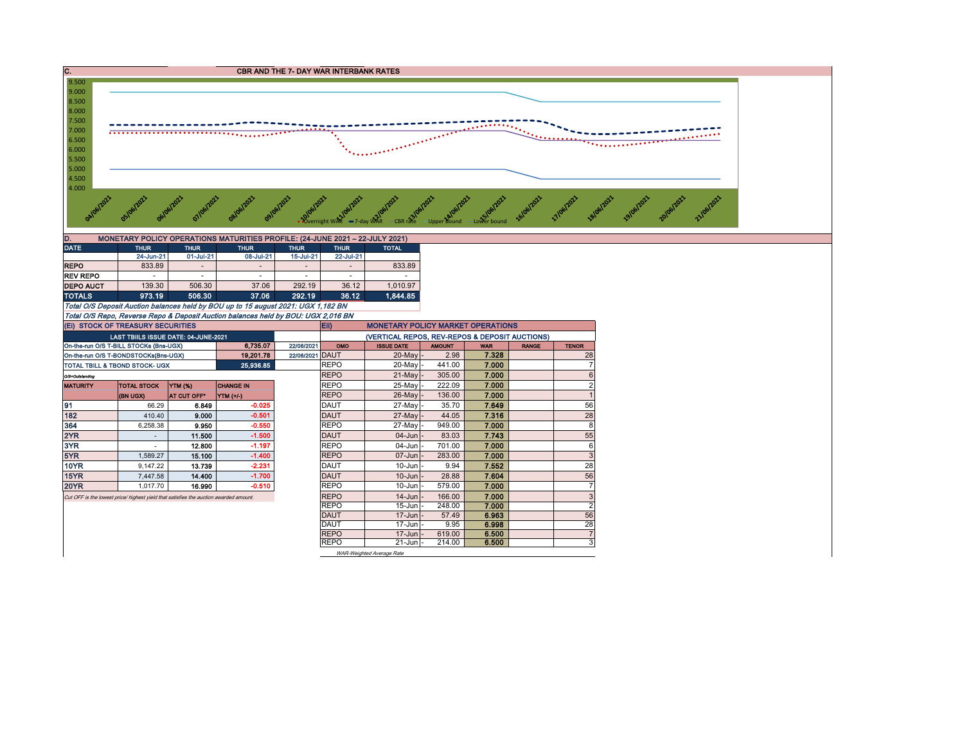

0 292.19 0 292.19 37.06 292.19 37.12 1,010.97<br>10 10 11 1,010.97 506.30 37.06 292.19 36.12 1,844.85 TOTALS 973.19 506.30 37.06 292.19 36.12 1,844.85 Total O/S Deposit Auction balances held by BOU up to 15 august 2021: UGX 1,182 BN

Total O/S Repo, Reverse Repo & Deposit Auction balances held by BOU: UGX 2,016 BN

|                                                   | (EI) STOCK OF TREASURY SECURITIES                                                     |                    |                  |               | Eii)        | <b>MONETARY POLICY MARKET OPERATIONS</b>       |               |            |              |                |
|---------------------------------------------------|---------------------------------------------------------------------------------------|--------------------|------------------|---------------|-------------|------------------------------------------------|---------------|------------|--------------|----------------|
|                                                   | LAST TBIILS ISSUE DATE: 04-JUNE-2021                                                  |                    |                  |               |             | (VERTICAL REPOS, REV-REPOS & DEPOSIT AUCTIONS) |               |            |              |                |
|                                                   | On-the-run O/S T-BILL STOCKs (Bns-UGX)                                                |                    | 6.735.07         | 22/06/2021    | OMO         | <b>ISSUE DATE</b>                              | <b>AMOUNT</b> | <b>WAR</b> | <b>RANGE</b> | <b>TENOR</b>   |
| 19,201.78<br>On-the-run O/S T-BONDSTOCKs(Bns-UGX) |                                                                                       | 22/06/2021         | <b>DAUT</b>      | $20$ -May $-$ | 2.98        | 7.328                                          |               | 28         |              |                |
| 25,936.85<br>TOTAL TBILL & TBOND STOCK- UGX       |                                                                                       |                    | <b>REPO</b>      | 20-May        | 441.00      | 7.000                                          |               |            |              |                |
| O/S=Outstanding                                   |                                                                                       |                    |                  |               | <b>REPO</b> | $21$ -May -                                    | 305.00        | 7.000      |              | 6              |
| <b>MATURITY</b>                                   | <b>TOTAL STOCK</b>                                                                    | YTM (%)            | <b>CHANGE IN</b> |               | <b>REPO</b> | 25-May -                                       | 222.09        | 7.000      |              | $\overline{2}$ |
|                                                   | <b>(BN UGX)</b>                                                                       | <b>AT CUT OFF*</b> | $YIM(+/)$        |               | <b>REPO</b> | 26-May -                                       | 136.00        | 7.000      |              |                |
| 191                                               | 66.29                                                                                 | 6.849              | $-0.025$         |               | DAUT        | 27-May -                                       | 35.70         | 7.649      |              | 56             |
| 182                                               | 410.40                                                                                | 9.000              | $-0.501$         |               | <b>DAUT</b> | 27-May -                                       | 44.05         | 7.316      |              | 28             |
| 364                                               | 6,258.38                                                                              | 9.950              | $-0.550$         |               | <b>REPO</b> | 27-May -                                       | 949.00        | 7.000      |              | 8              |
| 2YR                                               |                                                                                       | 11.500             | $-1.500$         |               | <b>DAUT</b> | $04 - Jun$                                     | 83.03         | 7.743      |              | 55             |
| 3YR                                               |                                                                                       | 12.800             | $-1.197$         |               | <b>REPO</b> | 04-Jun                                         | 701.00        | 7.000      |              | 6              |
| 5YR                                               | 1.589.27                                                                              | 15.100             | $-1.400$         |               | <b>REPO</b> | $07 - Jun$                                     | 283.00        | 7.000      |              | 3              |
| <b>10YR</b>                                       | 9.147.22                                                                              | 13.739             | $-2.231$         |               | <b>DAUT</b> | $10 - Jun$                                     | 9.94          | 7.552      |              | 28             |
| 15YR                                              | 7.447.58                                                                              | 14.400             | $-1.700$         |               | <b>DAUT</b> | $10 - Jun$                                     | 28.88         | 7.604      |              | 56             |
| <b>20YR</b>                                       | 1.017.70                                                                              | 16.990             | $-0.510$         |               | <b>REPO</b> | $10 - Jun$                                     | 579.00        | 7.000      |              | 7              |
|                                                   | Cut OFF is the lowest price/ highest yield that satisfies the auction awarded amount. |                    |                  |               | <b>REPO</b> | $14 - Jun$                                     | 166.00        | 7.000      |              | 3              |
|                                                   |                                                                                       |                    |                  |               | <b>REPO</b> | 15-Jun                                         | 248.00        | 7.000      |              | $\overline{2}$ |
|                                                   |                                                                                       |                    |                  |               | <b>DAUT</b> | $17 - Jun$                                     | 57.49         | 6.963      |              | 56             |
|                                                   |                                                                                       |                    |                  |               | <b>DAUT</b> | $17 - Jun$                                     | 9.95          | 6.998      |              | 28             |
|                                                   |                                                                                       |                    |                  |               | <b>REPO</b> | $17 - Jun$                                     | 619.00        | 6.500      |              | $\overline{7}$ |
|                                                   |                                                                                       |                    |                  |               | <b>REPO</b> | 21-Jun                                         | 214.00        | 6.500      |              | 3              |
|                                                   |                                                                                       |                    |                  |               |             | WAR-Weighted Average Rate                      |               |            |              |                |